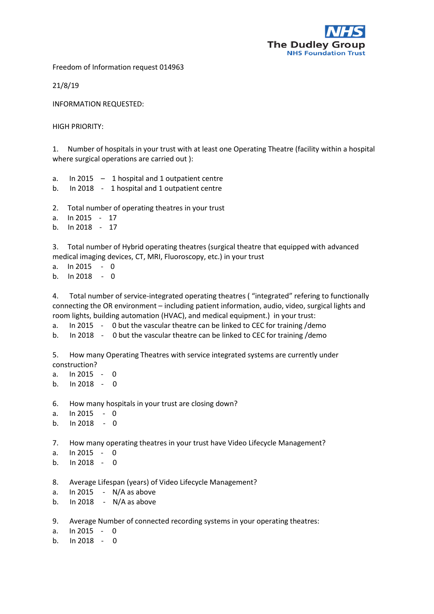

Freedom of Information request 014963

21/8/19

INFORMATION REQUESTED:

HIGH PRIORITY:

1. Number of hospitals in your trust with at least one Operating Theatre (facility within a hospital where surgical operations are carried out ):

- a. In 2015 1 hospital and 1 outpatient centre
- b. In 2018 1 hospital and 1 outpatient centre
- 2. Total number of operating theatres in your trust
- a. In 2015 17
- b. In 2018 17

3. Total number of Hybrid operating theatres (surgical theatre that equipped with advanced medical imaging devices, CT, MRI, Fluoroscopy, etc.) in your trust

a. In 2015 - 0 b.  $\ln 2018 - 0$ 

4. Total number of service-integrated operating theatres ( "integrated" refering to functionally connecting the OR environment – including patient information, audio, video, surgical lights and room lights, building automation (HVAC), and medical equipment.) in your trust:

a. In 2015 - 0 but the vascular theatre can be linked to CEC for training /demo

- b. In 2018 0 but the vascular theatre can be linked to CEC for training /demo
- 5. How many Operating Theatres with service integrated systems are currently under construction?
- a. In 2015 0 b.  $\ln 2018 - 0$ 6. How many hospitals in your trust are closing down? a. In 2015 - 0 b. In 2018 - 0 7. How many operating theatres in your trust have Video Lifecycle Management? a.  $ln 2015 - 0$ b. In 2018 - 0 8. Average Lifespan (years) of Video Lifecycle Management? a. In 2015 - N/A as above b. In 2018 - N/A as above 9. Average Number of connected recording systems in your operating theatres: a. In 2015 - 0
- b.  $\ln 2018 0$